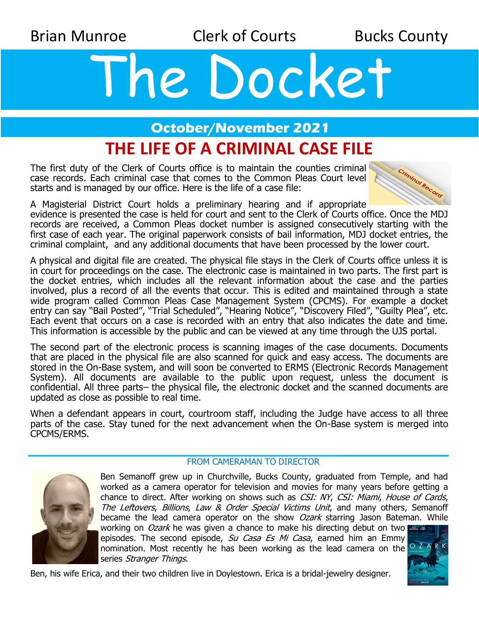Brian Munroe **Clerk of Courts** Bucks County

# The Docket

#### **October/November 2021**

# **THE LIFE OF A CRIMINAL CASE FILE**

The first duty of the Clerk of Courts office is to maintain the counties criminal case records. Each criminal case that comes to the Common Pleas Court level starts and is managed by our office. Here is the life of a case file:



A Magisterial District Court holds a preliminary hearing and if appropriate

evidence is presented the case is held for court and sent to the Clerk of Courts office. Once the MDJ records are received, a Common Pleas docket number is assigned consecutively starting with the first case of each year. The original paperwork consists of bail information, MDJ docket entries, the criminal complaint, and any additional documents that have been processed by the lower court.

A physical and digital file are created. The physical file stays in the Clerk of Courts office unless it is in court for proceedings on the case. The electronic case is maintained in two parts. The first part is the docket entries, which includes all the relevant information about the case and the parties involved, plus a record of all the events that occur. This is edited and maintained through a state wide program called Common Pleas Case Management System (CPCMS). For example a docket entry can say "Bail Posted", "Trial Scheduled", "Hearing Notice", "Discovery Filed", "Guilty Plea", etc. Each event that occurs on a case is recorded with an entry that also indicates the date and time. This information is accessible by the public and can be viewed at any time through the UJS portal.

The second part of the electronic process is scanning images of the case documents. Documents that are placed in the physical file are also scanned for quick and easy access. The documents are stored in the On-Base system, and will soon be converted to ERMS (Electronic Records Management System). All documents are available to the public upon request, unless the document is confidential. All three parts– the physical file, the electronic docket and the scanned documents are updated as close as possible to real time.

When a defendant appears in court, courtroom staff, including the Judge have access to all three parts of the case. Stay tuned for the next advancement when the On-Base system is merged into CPCMS/ERMS.

#### FROM CAMERAMAN TO DIRECTOR



Ben Semanoff grew up in Churchville, Bucks County, graduated from Temple, and had worked as a camera operator for television and movies for many years before getting a chance to direct. After working on shows such as CSI: NY, CSI: Miami, House of Cards, The Leftovers, Billions, Law & Order Special Victims Unit, and many others, Semanoff became the lead camera operator on the show *Ozark* starring Jason Bateman. While working on *Ozark* he was given a chance to make his directing debut on two

episodes. The second episode, Su Casa Es Mi Casa, earned him an Emmy nomination. Most recently he has been working as the lead camera on the  $\frac{1}{2}$ series Stranger Things.



Ben, his wife Erica, and their two children live in Doylestown. Erica is a bridal-jewelry designer.